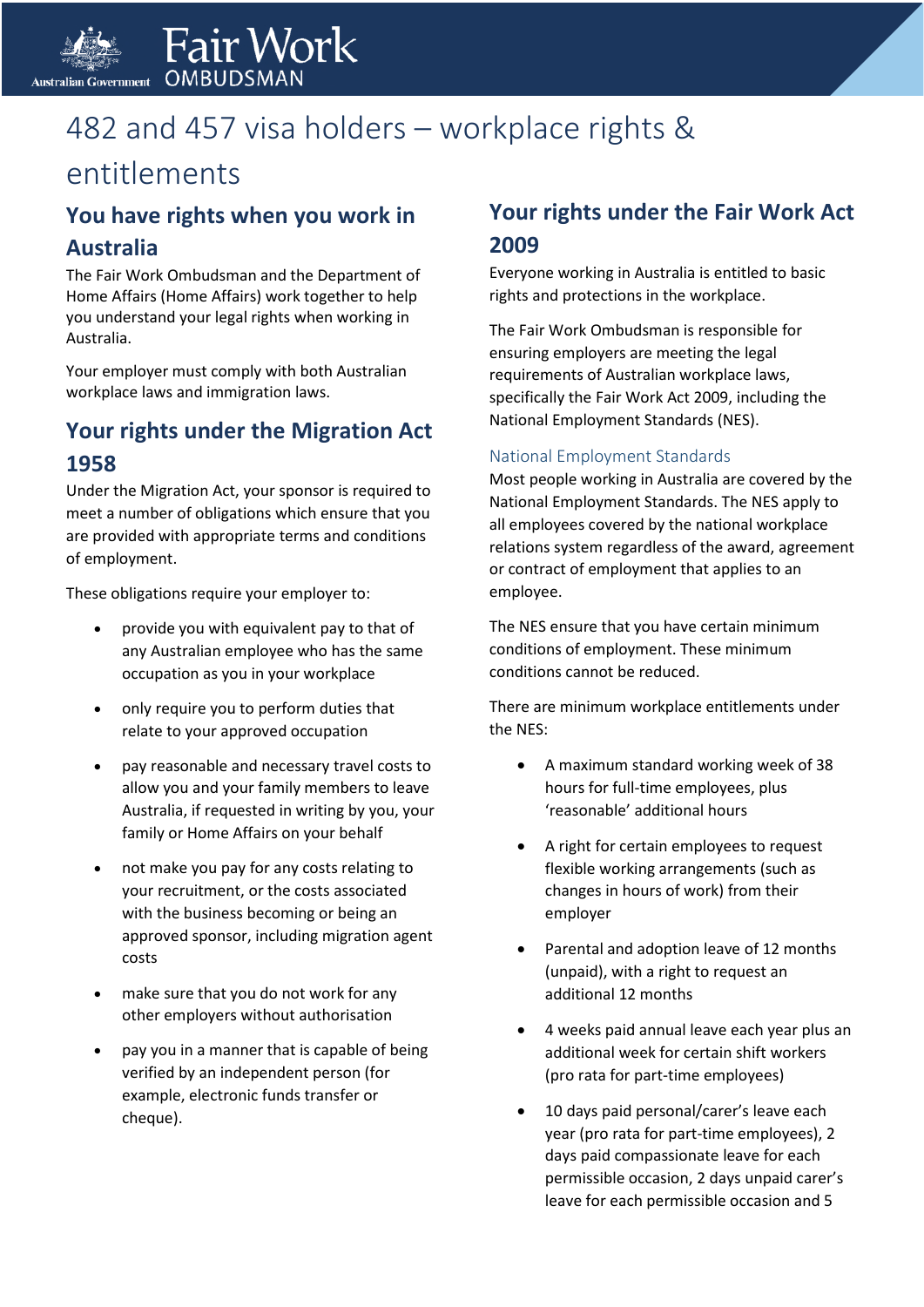

# 482 and 457 visa holders – workplace rights &

## entitlements

## **You have rights when you work in Australia**

Fair Work

The Fair Work Ombudsman and the Department of Home Affairs (Home Affairs) work together to help you understand your legal rights when working in Australia.

Your employer must comply with both Australian workplace laws and immigration laws.

## **Your rights under the Migration Act 1958**

Under the Migration Act, your sponsor is required to meet a number of obligations which ensure that you are provided with appropriate terms and conditions of employment.

These obligations require your employer to:

- provide you with equivalent pay to that of any Australian employee who has the same occupation as you in your workplace
- only require you to perform duties that relate to your approved occupation
- pay reasonable and necessary travel costs to allow you and your family members to leave Australia, if requested in writing by you, your family or Home Affairs on your behalf
- not make you pay for any costs relating to your recruitment, or the costs associated with the business becoming or being an approved sponsor, including migration agent costs
- make sure that you do not work for any other employers without authorisation
- pay you in a manner that is capable of being verified by an independent person (for example, electronic funds transfer or cheque).

### **Your rights under the Fair Work Act 2009**

Everyone working in Australia is entitled to basic rights and protections in the workplace.

The Fair Work Ombudsman is responsible for ensuring employers are meeting the legal requirements of Australian workplace laws, specifically the Fair Work Act 2009, including the National Employment Standards (NES).

#### National Employment Standards

Most people working in Australia are covered by the National Employment Standards. The NES apply to all employees covered by the national workplace relations system regardless of the award, agreement or contract of employment that applies to an employee.

The NES ensure that you have certain minimum conditions of employment. These minimum conditions cannot be reduced.

There are minimum workplace entitlements under the NES:

- A maximum standard working week of 38 hours for full-time employees, plus 'reasonable' additional hours
- A right for certain employees to request flexible working arrangements (such as changes in hours of work) from their employer
- Parental and adoption leave of 12 months (unpaid), with a right to request an additional 12 months
- 4 weeks paid annual leave each year plus an additional week for certain shift workers (pro rata for part-time employees)
- 10 days paid personal/carer's leave each year (pro rata for part-time employees), 2 days paid compassionate leave for each permissible occasion, 2 days unpaid carer's leave for each permissible occasion and 5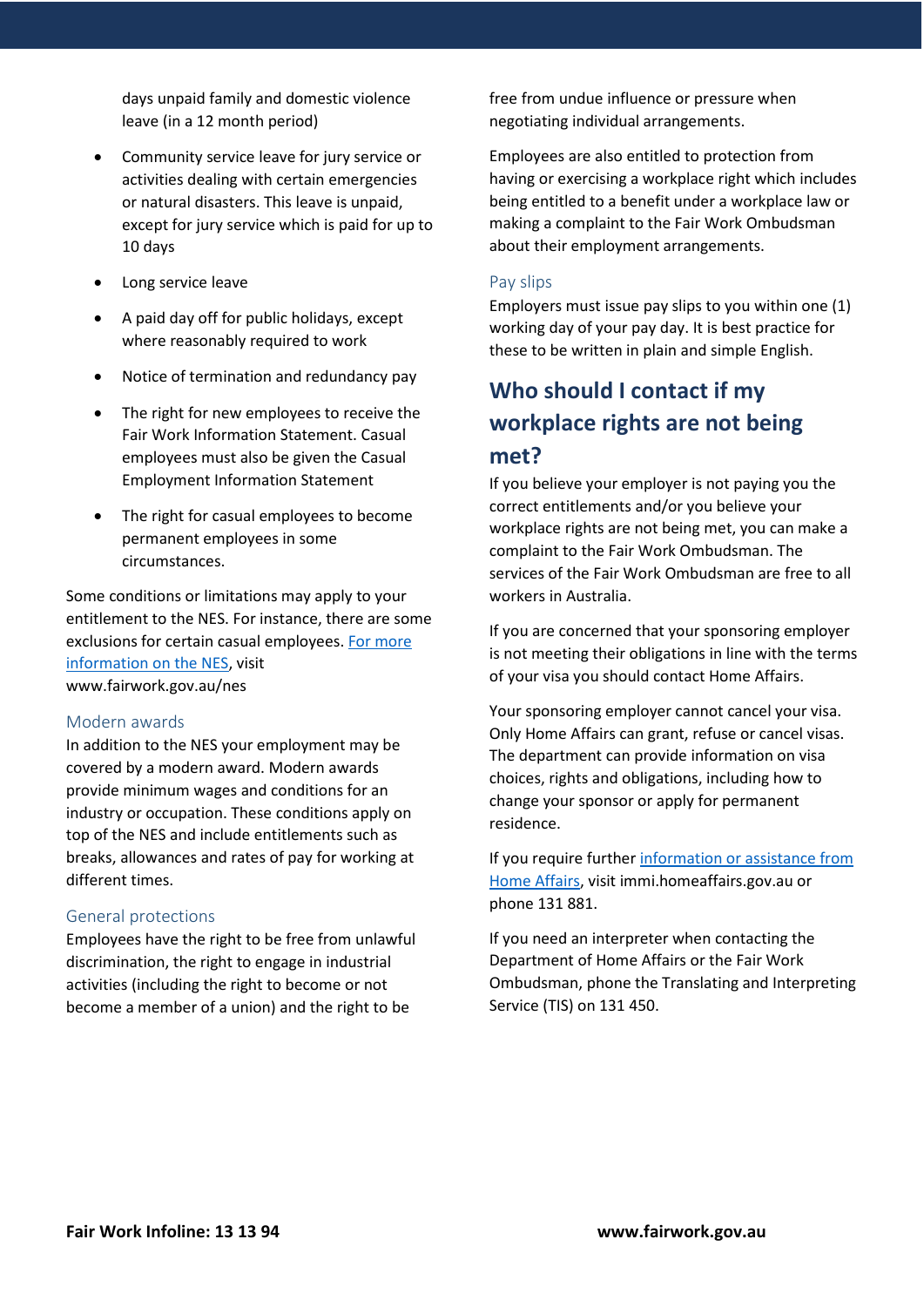days unpaid family and domestic violence leave (in a 12 month period)

- Community service leave for jury service or activities dealing with certain emergencies or natural disasters. This leave is unpaid, except for jury service which is paid for up to 10 days
- Long service leave
- A paid day off for public holidays, except where reasonably required to work
- Notice of termination and redundancy pay
- The right for new employees to receive the Fair Work Information Statement. Casual employees must also be given the Casual Employment Information Statement
- The right for casual employees to become permanent employees in some circumstances.

Some conditions or limitations may apply to your entitlement to the NES. For instance, there are some exclusions for certain casual employees. [For more](http://www.fairwork.gov.au/nes)  [information on the NES, visit](http://www.fairwork.gov.au/nes)  www.fairwork.gov.au/nes

#### Modern awards

In addition to the NES your employment may be covered by a modern award. Modern awards provide minimum wages and conditions for an industry or occupation. These conditions apply on top of the NES and include entitlements such as breaks, allowances and rates of pay for working at different times.

#### General protections

Employees have the right to be free from unlawful discrimination, the right to engage in industrial activities (including the right to become or not become a member of a union) and the right to be

free from undue influence or pressure when negotiating individual arrangements.

Employees are also entitled to protection from having or exercising a workplace right which includes being entitled to a benefit under a workplace law or making a complaint to the Fair Work Ombudsman about their employment arrangements.

#### Pay slips

Employers must issue pay slips to you within one (1) working day of your pay day. It is best practice for these to be written in plain and simple English.

## **Who should I contact if my workplace rights are not being met?**

If you believe your employer is not paying you the correct entitlements and/or you believe your workplace rights are not being met, you can make a complaint to the Fair Work Ombudsman. The services of the Fair Work Ombudsman are free to all workers in Australia.

If you are concerned that your sponsoring employer is not meeting their obligations in line with the terms of your visa you should contact Home Affairs.

Your sponsoring employer cannot cancel your visa. Only Home Affairs can grant, refuse or cancel visas. The department can provide information on visa choices, rights and obligations, including how to change your sponsor or apply for permanent residence.

If you require further [information](https://immi.homeaffairs.gov.au/) or assistance from [Home Affairs, visit immi.homeaffairs.gov.au or](https://immi.homeaffairs.gov.au/)  phone 131 881.

If you need an interpreter when contacting the Department of Home Affairs or the Fair Work Ombudsman, phone the Translating and Interpreting Service (TIS) on 131 450.